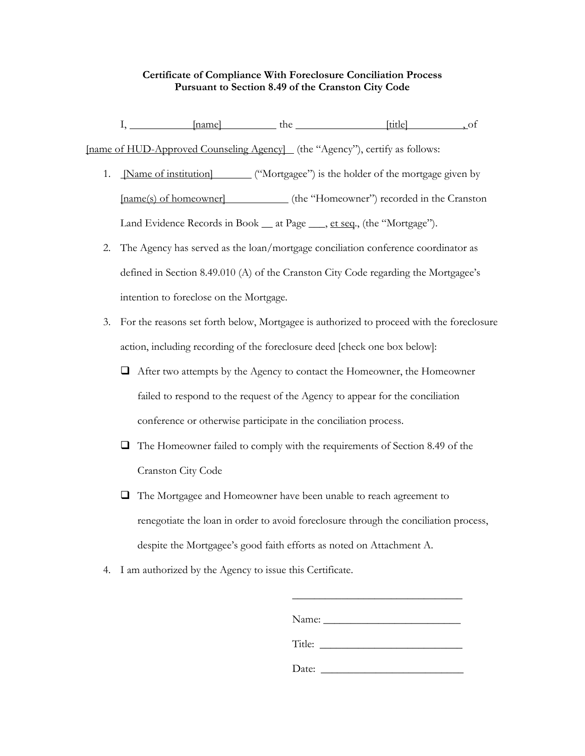## **Certificate of Compliance With Foreclosure Conciliation Process Pursuant to Section 8.49 of the Cranston City Code**

I, [name] the [title] , of [name of HUD-Approved Counseling Agency] (the "Agency"), certify as follows:

- 1. [Name of institution] ("Mortgagee") is the holder of the mortgage given by [name(s) of homeowner] (the "Homeowner") recorded in the Cranston Land Evidence Records in Book \_\_ at Page \_\_\_, et seq., (the "Mortgage").
- 2. The Agency has served as the loan/mortgage conciliation conference coordinator as defined in Section 8.49.010 (A) of the Cranston City Code regarding the Mortgagee's intention to foreclose on the Mortgage.
- 3. For the reasons set forth below, Mortgagee is authorized to proceed with the foreclosure action, including recording of the foreclosure deed [check one box below]:
	- $\Box$  After two attempts by the Agency to contact the Homeowner, the Homeowner failed to respond to the request of the Agency to appear for the conciliation conference or otherwise participate in the conciliation process.
	- The Homeowner failed to comply with the requirements of Section 8.49 of the Cranston City Code
	- $\Box$  The Mortgagee and Homeowner have been unable to reach agreement to renegotiate the loan in order to avoid foreclosure through the conciliation process, despite the Mortgagee's good faith efforts as noted on Attachment A.
- 4. I am authorized by the Agency to issue this Certificate.

| Name:  |  |  |
|--------|--|--|
| Title: |  |  |

Date:

\_\_\_\_\_\_\_\_\_\_\_\_\_\_\_\_\_\_\_\_\_\_\_\_\_\_\_\_\_\_\_